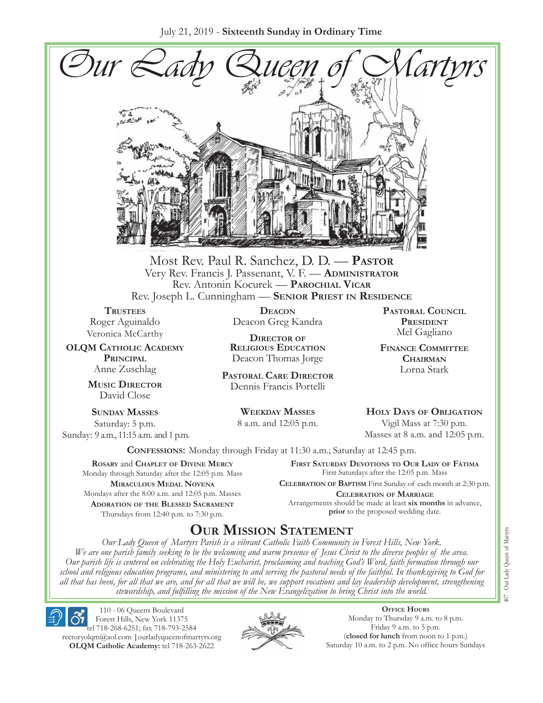July 21, 2019 - **Sixteenth Sunday in Ordinary Time**



Most Rev. Paul R. Sanchez, D. D. — **Pastor** Very Rev. Francis J. Passenant, V. F. — **Administrator** Rev. Antonin Kocurek — **Parochial Vicar** Rev. Joseph L. Cunningham — **Senior Priest in Residence**

**Trustees** Roger Aguinaldo Veronica McCarthy

**OLQM Catholic Academy Principal** Anne Zuschlag

> **Music Director** David Close

**Sunday Masses** Saturday: 5 p.m. Sunday: 9 a.m., 11:15 a.m. and 1 p.m.

**Deacon** Deacon Greg Kandra

**Director of Religious Education** Deacon Thomas Jorge

**Pastoral Care Director** Dennis Francis Portelli

> **Weekday Masses** 8 a.m. and 12:05 p.m.

**Pastoral Council PRESIDENT** Mel Gagliano

**Finance Committee Chairman** Lorna Stark

**Holy Days of Obligation** Vigil Mass at 7:30 p.m.

Masses at 8 a.m. and 12:05 p.m.

**Confessions:** Monday through Friday at 11:30 a.m.; Saturday at 12:45 p.m.

**Rosary** and **Chaplet of Divine Mercy** Monday through Saturday after the 12:05 p.m. Mass **Miraculous Medal Novena** Mondays after the 8:00 a.m. and 12:05 p.m. Masses **Adoration of the Blessed Sacrament** Thursdays from 12:40 p.m. to 7:30 p.m.

**First Saturday Devotions to Our Lady of Fátima** First Saturdays after the 12:05 p.m. Mass

**Celebration of Baptism** First Sunday of each month at 2:30 p.m. **Celebration of Marriage** Arrangements should be made at least **six months** in advance, **prior** to the proposed wedding date.

# **Our Mission Statement**

*Our Lady Queen of Martyrs Parish is a vibrant Catholic Faith Community in Forest Hills, New York. We are one parish family seeking to be the welcoming and warm presence of Jesus Christ to the diverse peoples of the area. Our parish life is centered on celebrating the Holy Eucharist, proclaiming and teaching God's Word, faith formation through our school and religious education programs, and ministering to and serving the pastoral needs of the faithful. In thanksgiving to God for all that has been, for all that we are, and for all that we will be, we support vocations and lay leadership development, strengthening stewardship, and fulfilling the mission of the New Evangelization to bring Christ into the world.*

110 - 06 Queens Boulevard Forest Hills, New York 11375

tel 718-268-6251; fax 718-793-2584 [rectoryolqm@aol.com](mailto:rectoryolqm@aol.com) **|**[ourladyqueenofmartyrs.org](www.ourladyqueenofmartyrs.org) **OLQM Catholic Academy:** tel 718-263-2622



**Office Hours** Monday to Thursday 9 a.m. to 8 p.m. Friday 9 a.m. to 5 p.m. (**closed for lunch** from noon to 1 p.m.) Saturday 10 a.m. to 2 p.m. No office hours Sundays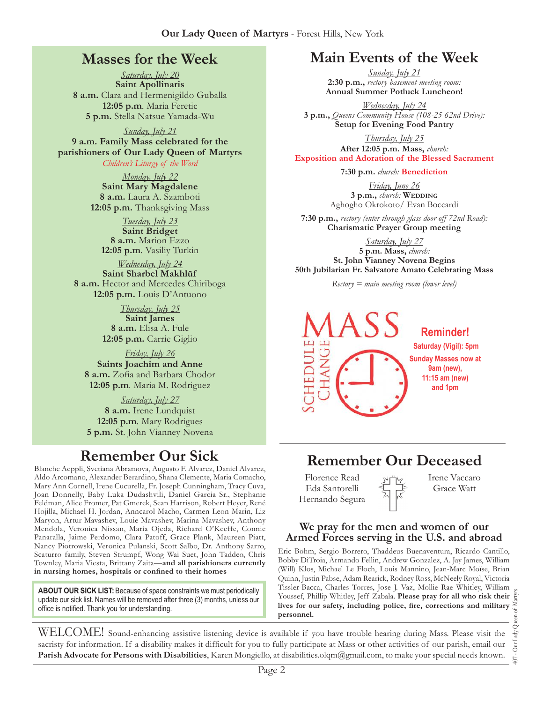# **Masses for the Week**

*Saturday, July 20* **Saint Apollinaris 8 a.m.** Clara and Hermenigildo Guballa **12:05 p.m***.* Maria Feretic **5 p.m.** Stella Natsue Yamada-Wu

*Sunday, July 21* **9 a.m. Family Mass celebrated for the parishioners of Our Lady Queen of Martyrs** *Children's Liturgy of the Word* 

> *Monday, July 22* **Saint Mary Magdalene 8 a.m.** Laura A. Szamboti **12:05 p.m.** Thanksgiving Mass

*Tuesday, July 23* **Saint Bridget 8 a.m.** Marion Ezzo **12:05 p.m***.* Vasiliy Turkin

*Wednesday, July 24* **Saint Sharbel Makhlūf 8 a.m.** Hector and Mercedes Chiriboga **12:05 p.m.** Louis D'Antuono

> *Thursday, July 25* **Saint James 8 a.m.** Elisa A. Fule **12:05 p.m.** Carrie Giglio

*Friday, July 26* **Saints Joachim and Anne 8 a.m.** Zofia and Barbara Chodor **12:05 p.m***.* Maria M. Rodriguez

*Saturday, July 27* **8 a.m.** Irene Lundquist **12:05 p.m***.* Mary Rodrigues **5 p.m.** St. John Vianney Novena

Blanche Aeppli, Svetiana Abramova, Augusto F. Alvarez, Daniel Alvarez, Aldo Arcomano, Alexander Berardino, Shana Clemente, Maria Comacho, Mary Ann Cornell, Irene Cucurella, Fr. Joseph Cunningham, Tracy Cuva, Joan Donnelly, Baby Luka Dudashvili, Daniel Garcia Sr., Stephanie Feldman, Alice Fromer, Pat Gmerek, Sean Harrison, Robert Heyer, René Hojilla, Michael H. Jordan, Anncarol Macho, Carmen Leon Marin, Liz Maryon, Artur Mavashev, Louie Mavashev, Marina Mavashev, Anthony Mendola, Veronica Nissan, Maria Ojeda, Richard O'Keeffe, Connie Panaralla, Jaime Perdomo, Clara Patoff, Grace Plank, Maureen Piatt, Nancy Piotrowski, Veronica Pulanski, Scott Salbo, Dr. Anthony Sarro, Scaturro family, Steven Strumpf, Wong Wai Suet, John Taddeo, Chris Townley, Maria Viesta, Brittany Zaita—**and all parishioners currently in nursing homes, hospitals or confined to their homes**

**About Our Sick List:** Because of space constraints we must periodically update our sick list. Names will be removed after three (3) months, unless our office is notified. Thank you for understanding.

# **Main Events of the Week**

*Sunday, July 21* **2:30 p.m.,** *rectory basement meeting room:*  **Annual Summer Potluck Luncheon!**

*Wednesday, July 24* **3 p.m.,** *Queens Community House (108-25 62nd Drive):*  **Setup for Evening Food Pantry** 

*Thursday, July 25* **After 12:05 p.m. Mass,** *church:*  **Exposition and Adoration of the Blessed Sacrament**

**7:30 p.m.** *church:* **Benediction**

*Friday, June 26* 3 p.m., *church*: WEDDING Aghogho Okrokoto/ Evan Boccardi

**7:30 p.m.,** *rectory (enter through glass door off 72nd Road):* **Charismatic Prayer Group meeting**

*Saturday, July 27* **5 p.m. Mass,** *church:*  **St. John Vianney Novena Begins 50th Jubilarian Fr. Salvatore Amato Celebrating Mass**

*Rectory = main meeting room (lower level)*



# **Remember Our Sick Remember Our Deceased**

Florence Read Eda Santorelli Hernando Segura Irene Vaccaro Grace Watt

#### **We pray for the men and women of our Armed Forces serving in the U.S. and abroad**

Eric Böhm, Sergio Borrero, Thaddeus Buenaventura, Ricardo Cantillo, Bobby DiTroia, Armando Fellin, Andrew Gonzalez, A. Jay James, William (Will) Klos, Michael Le Floch, Louis Mannino, Jean-Marc Moïse, Brian Quinn, Justin Pabse, Adam Rearick, Rodney Ross, McNeely Royal, Victoria Tissler-Bacca, Charles Torres, Jose J. Vaz, Mollie Rae Whitley, William Youssef, Phillip Whitley, Jeff Zabala. **Please pray for all who risk their lives for our safety, including police, fire, corrections and military personnel.**

407 - Our Lady Queen of Martyrs Our Lady  $\overline{407}$  .

WELCOME! Sound-enhancing assistive listening device is available if you have trouble hearing during Mass. Please visit the sacristy for information. If a disability makes it difficult for you to fully participate at Mass or other activities of our parish, email our **Parish Advocate for Persons with Disabilities**, Karen Mongiello, at [disabilities.olqm@gmail.com,](mailto:disabilities.olqm@gmail.com) to make your special needs known.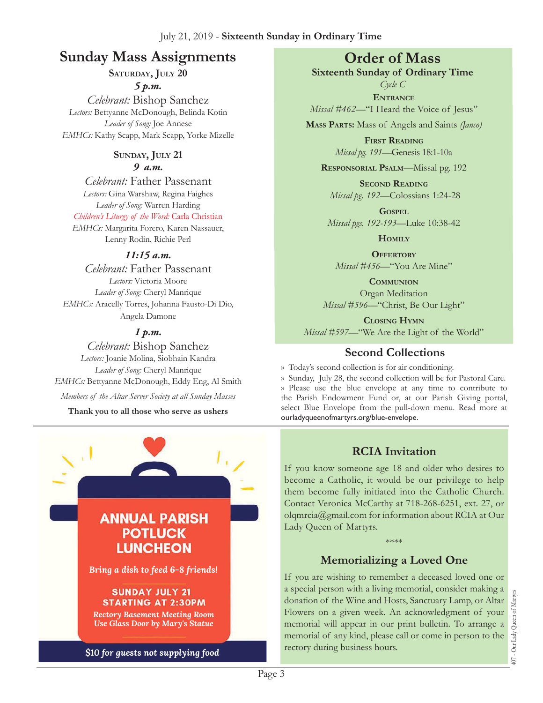# **Sunday Mass Assignments Order of Mass**

**Saturday, July 20**

*5 p.m.* 

*Celebrant:* Bishop Sanchez *Lectors:* Bettyanne McDonough, Belinda Kotin *Leader of Song:* Joe Annese *EMHCs:* Kathy Scapp, Mark Scapp, Yorke Mizelle

#### **Sunday, July 21** *9 a.m.*

*Celebrant:* Father Passenant *Lectors:* Gina Warshaw, Regina Faighes *Leader of Song:* Warren Harding *Children's Liturgy of the Word:* Carla Christian *EMHCs:* Margarita Forero, Karen Nassauer, Lenny Rodin, Richie Perl

#### *11:15 a.m.*

*Celebrant:* Father Passenant *Lectors:* Victoria Moore *Leader of Song:* Cheryl Manrique *EMHCs:* Aracelly Torres, Johanna Fausto-Di Dio, Angela Damone

### *1 p.m.*

*Celebrant:* Bishop Sanchez *Lectors:* Joanie Molina, Siobhain Kandra *Leader of Song:* Cheryl Manrique *EMHCs:* Bettyanne McDonough, Eddy Eng, Al Smith *Members of the Altar Server Society at all Sunday Masses*

**Thank you to all those who serve as ushers**



**Sixteenth Sunday of Ordinary Time** *Cycle C*

**Entrance** *Missal* #462—"I Heard the Voice of Jesus"

**Mass Parts:** Mass of Angels and Saints *(Janco)*

**First Reading** *Missal pg. 191—*Genesis 18:1-10a

**Responsorial Psalm**—Missal pg. 192

**Second Reading** *Missal pg. 192—*Colossians 1:24-28

**Gospel** *Missal pgs. 192-193—*Luke 10:38-42

**Homily**

**OFFERTORY** *Missal #456—*"You Are Mine"

**Communion** Organ Meditation *Missal #596—*"Christ, Be Our Light"

**Closing Hymn** *Missal #597*—"We Are the Light of the World"

## **Second Collections**

›› Today's second collection is for air conditioning.

›› Sunday, July 28, the second collection will be for Pastoral Care. ›› Please use the blue envelope at any time to contribute to the Parish Endowment Fund or, at our Parish Giving portal, select Blue Envelope from the pull-down menu. Read more at ourladyqueenofmartyrs.org/blue-envelope.

# **RCIA Invitation**

If you know someone age 18 and older who desires to become a Catholic, it would be our privilege to help them become fully initiated into the Catholic Church. Contact Veronica McCarthy at 718-268-6251, ext. 27, or olqmrcia[@gmail.com](mailto:rectoryolqm@aol.com) for information about RCIA at Our Lady Queen of Martyrs.

# **Memorializing a Loved One**

\*\*\*\*

If you are wishing to remember a deceased loved one or a special person with a living memorial, consider making a donation of the Wine and Hosts, Sanctuary Lamp, or Altar Flowers on a given week. An acknowledgment of your memorial will appear in our print bulletin. To arrange a memorial of any kind, please call or come in person to the rectory during business hours.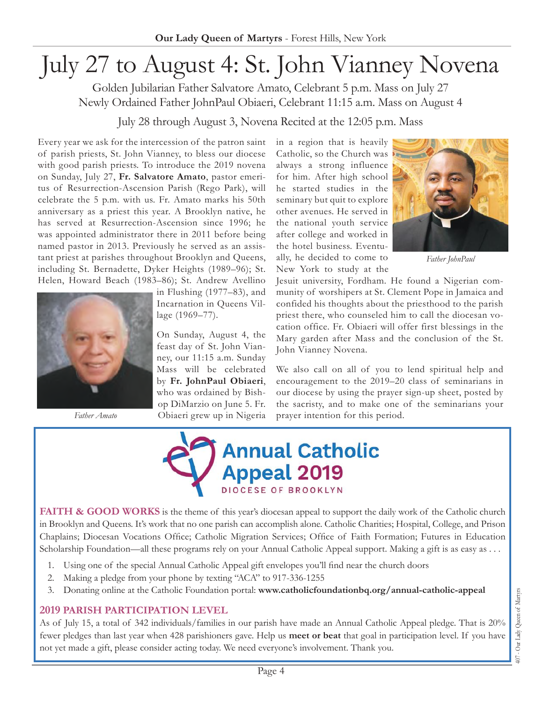# July 27 to August 4: St. John Vianney Novena

Golden Jubilarian Father Salvatore Amato, Celebrant 5 p.m. Mass on July 27 Newly Ordained Father JohnPaul Obiaeri, Celebrant 11:15 a.m. Mass on August 4

July 28 through August 3, Novena Recited at the 12:05 p.m. Mass

Every year we ask for the intercession of the patron saint of parish priests, St. John Vianney, to bless our diocese with good parish priests. To introduce the 2019 novena on Sunday, July 27, **Fr. Salvatore Amato**, pastor emeritus of Resurrection-Ascension Parish (Rego Park), will celebrate the 5 p.m. with us. Fr. Amato marks his 50th anniversary as a priest this year. A Brooklyn native, he has served at Resurrection-Ascension since 1996; he was appointed administrator there in 2011 before being named pastor in 2013. Previously he served as an assistant priest at parishes throughout Brooklyn and Queens, including St. Bernadette, Dyker Heights (1989–96); St. Helen, Howard Beach (1983–86); St. Andrew Avellino



in Flushing (1977–83), and Incarnation in Queens Village (1969–77).

On Sunday, August 4, the feast day of St. John Vianney, our 11:15 a.m. Sunday Mass will be celebrated by **Fr. JohnPaul Obiaeri**, who was ordained by Bishop DiMarzio on June 5. Fr. Obiaeri grew up in Nigeria

in a region that is heavily Catholic, so the Church was always a strong influence for him. After high school he started studies in the seminary but quit to explore other avenues. He served in the national youth service after college and worked in the hotel business. Eventually, he decided to come to New York to study at the



*Father JohnPaul*

Jesuit university, Fordham. He found a Nigerian community of worshipers at St. Clement Pope in Jamaica and confided his thoughts about the priesthood to the parish priest there, who counseled him to call the diocesan vocation office. Fr. Obiaeri will offer first blessings in the Mary garden after Mass and the conclusion of the St. John Vianney Novena.

We also call on all of you to lend spiritual help and encouragement to the 2019–20 class of seminarians in our diocese by using the prayer sign-up sheet, posted by the sacristy, and to make one of the seminarians your Father Amato **prayer in Collect** Diagram prayer intention for this period.



FAITH & GOOD WORKS is the theme of this year's diocesan appeal to support the daily work of the Catholic church in Brooklyn and Queens. It's work that no one parish can accomplish alone. Catholic Charities; Hospital, College, and Prison Chaplains; Diocesan Vocations Office; Catholic Migration Services; Office of Faith Formation; Futures in Education Scholarship Foundation—all these programs rely on your Annual Catholic Appeal support. Making a gift is as easy as . . .

- 1. Using one of the special Annual Catholic Appeal gift envelopes you'll find near the church doors
- 2. Making a pledge from your phone by texting "ACA" to 917-336-1255
- 3. Donating online at the Catholic Foundation portal: **[www.catholicfoundationbq.org/annual-](www.catholicfoundationbq.org/annual)catholic-appeal**

# **2019 PARISH Participation Level**

As of July 15, a total of 342 individuals/families in our parish have made an Annual Catholic Appeal pledge. That is 20% fewer pledges than last year when 428 parishioners gave. Help us **meet or beat** that goal in participation level. If you have not yet made a gift, please consider acting today. We need everyone's involvement. Thank you.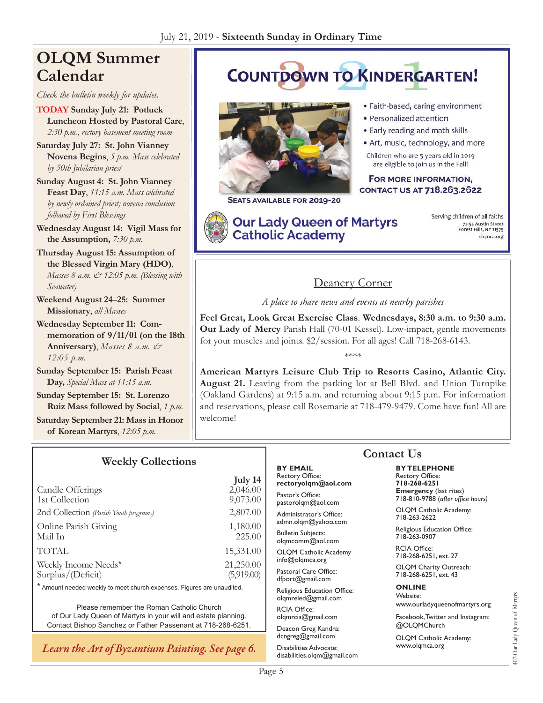# **OLQM Summer Calendar**

*Check the bulletin weekly for updates.*

**TODAY Sunday July 21: Potluck Luncheon Hosted by Pastoral Care**, *2:30 p.m., rectory basement meeting room*

**Saturday July 27: St. John Vianney Novena Begins**, *5 p.m. Mass celebrated by 50th Jubilarian priest*

**Sunday August 4: St. John Vianney Feast Day**, *11:15 a.m. Mass celebrated by newly ordained priest; novena conclusion followed by First Blessings* 

**Wednesday August 14: Vigil Mass for the Assumption,** *7:30 p.m.*

**Thursday August 15: Assumption of the Blessed Virgin Mary (HDO)**, *Masses 8 a.m. & 12:05 p.m. (Blessing with Seawater)*

**Weekend August 24**–**25: Summer Missionary**, *all Masses*

**Wednesday September 11: Commemoration of 9/11/01 (on the 18th Anniversary)**, *Masses 8 a.m. & 12:05 p.m.*

**Sunday September 15: Parish Feast Day,** *Special Mass at 11:15 a.m.*

**Sunday September 15: St. Lorenzo Ruiz Mass followed by Social**, *1 p.m.*

**Saturday September 21: Mass in Honor of Korean Martyrs**, *12:05 p.m.*

#### **Weekly Collections**

**July 14**<br>2.046.00 Candle Offerings 1st Collection 9,073.00 2nd Collection *(Parish Youth programs)* 2,807.00 Online Parish Giving 1,180.00 Mail In 225.00 TOTAL 15,331.00 Weekly Income Needs\* 21,250.00 Surplus/(Deficit) (5,919.00)

\* Amount needed weekly to meet church expenses. Figures are unaudited.

Please remember the Roman Catholic Church of Our Lady Queen of Martyrs in your will and estate planning. Contact Bishop Sanchez or Father Passenant at 718-268-6251.

*Learn the Art of Byzantium Painting. See page 6.*

# **COUNTDOWN TO KINDERGARTEN!**



SEATS AVAILABLE FOR 2019-20

**Our Lady Queen of Martyrs Catholic Academy** 

- · Faith-based, caring environment
- · Personalized attention
- . Early reading and math skills
- · Art, music, technology, and more

Children who are 5 years old in 2019 are eligible to join us in the Fall!

FOR MORE INFORMATION, CONTACT US AT 718.263.2622

Serving children of all faiths 72-55 Austin Street<br>Forest Hills, NY 11375 olqmca.org

# Deanery Corner

*A place to share news and events at nearby parishes*

**Feel Great, Look Great Exercise Class**. **Wednesdays, 8:30 a.m. to 9:30 a.m. Our Lady of Mercy** Parish Hall (70-01 Kessel). Low-impact, gentle movements for your muscles and joints. \$2/session. For all ages! Call 718-268-6143.

\*\*\*\*

**American Martyrs Leisure Club Trip to Resorts Casino, Atlantic City. August 21.** Leaving from the parking lot at Bell Blvd. and Union Turnpike (Oakland Gardens) at 9:15 a.m. and returning about 9:15 p.m. For information and reservations, please call Rosemarie at 718-479-9479. Come have fun! All are welcome!

#### **By Email** Rectory Office: **rectoryolqm@aol.com**

Pastor's Office: pastorolqm@aol.com

Administrator's Office: admn.olqm@yahoo.com

Bulletin Subjects: olqmcomm@aol.com

OLQM Catholic Academy info@olqmca.org

Pastoral Care Office: dfport@gmail.com

Religious Education Office: olqmreled@gmail.com

RCIA Office: [olqmrcia@gmail.com](mailto:olqmrcia@gmail.com)

Deacon Greg Kandra: dcngreg@gmail.com

Disabilities Advocate: [disabilities.olqm@gmail.com](mailto:disabilities.olqm@gmail.com)

# **Contact Us**

**By Telephone** Rectory Office: **718-268-6251 Emergency** (last rites) 718-810-9788 (*after office hours)*

OLQM Catholic Academy: 718-263-2622

Religious Education Office: 718-263-0907

RCIA Office: 718-268-6251, ext. 27

OLQM Charity Outreach: 718-268-6251, ext. 43

#### **Online** Website:

www.ourladyqueenofmartyrs.org

Facebook, Twitter and Instagram: @OLQMChurch

OLQM Catholic Academy: <www.olqmca.org>